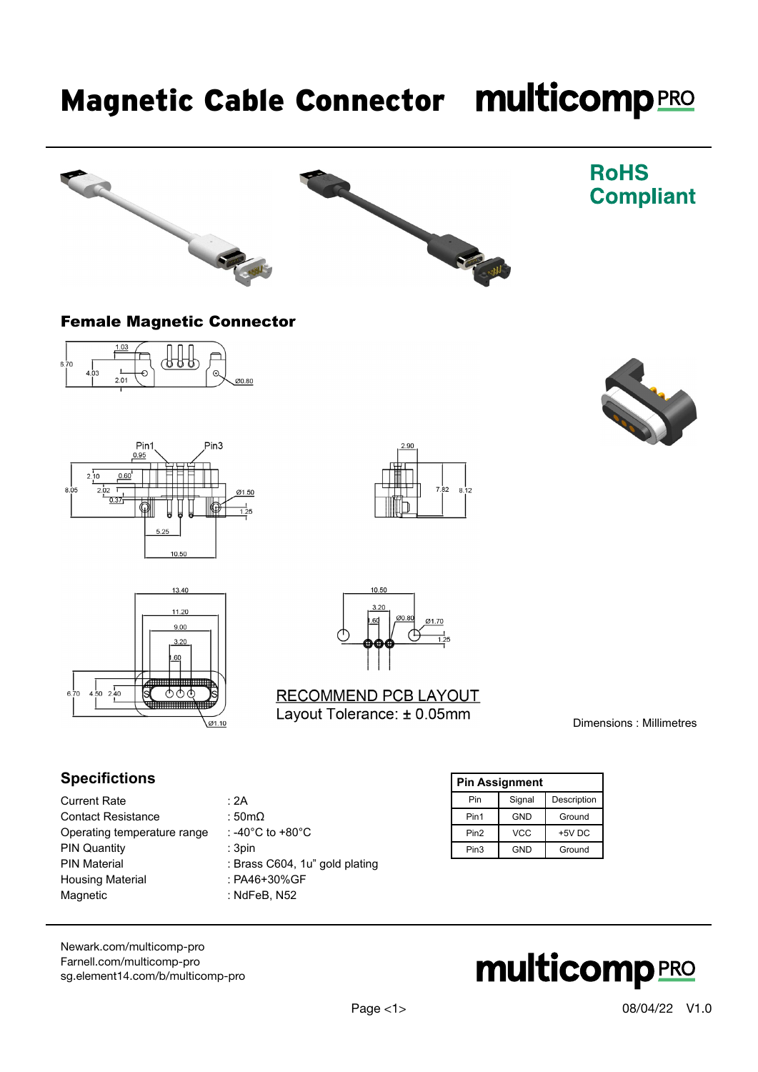# Magnetic Cable Connector multicomp PRO





### **RoHS Compliant**

#### Female Magnetic Connector













#### RECOMMEND PCB LAYOUT Layout Tolerance: ± 0.05mm

Dimensions : Millimetres

#### **Specifictions**

- Current Rate : 2A Contact Resistance : 50mΩ Operating temperature range : -40°C to +80°C PIN Quantity : 3pin PIN Material : Brass C604, 1u" gold plating Housing Material : PA46+30%GF<br>Magnetic : NdFeB, N52
	-
	-
	-
	-
	-
	- : NdFeB, N52

| <b>Pin Assignment</b> |            |             |  |
|-----------------------|------------|-------------|--|
| Pin                   | Signal     | Description |  |
| Pin1                  | GND        | Ground      |  |
| Pin <sub>2</sub>      | <b>VCC</b> | +5V DC      |  |
| Pin3                  | GND        | Ground      |  |

[Newark.com/multicomp-](https://www.newark.com/multicomp-pro)pro [Farnell.com/multicomp](https://www.farnell.com/multicomp-pro)-pro [sg.element14.com/b/multicomp-pro](https://sg.element14.com/b/multicomp-pro)